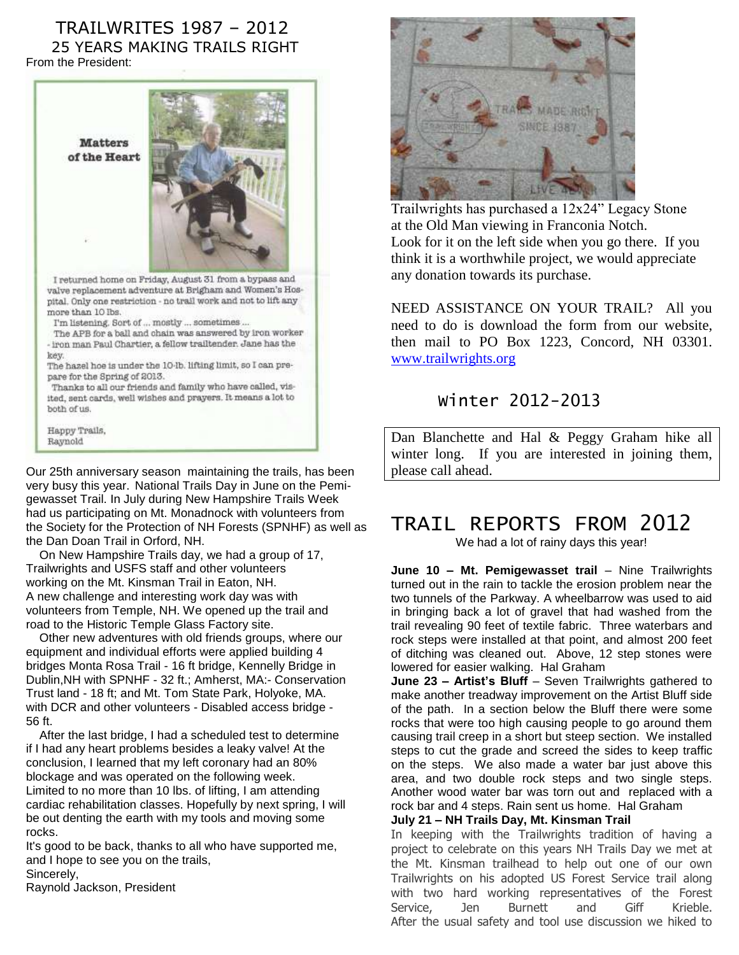#### TRAILWRITES 1987 – 2012 25 YEARS MAKING TRAILS RIGHT From the President:



Our 25th anniversary season maintaining the trails, has been very busy this year. National Trails Day in June on the Pemigewasset Trail. In July during New Hampshire Trails Week had us participating on Mt. Monadnock with volunteers from the Society for the Protection of NH Forests (SPNHF) as well as the Dan Doan Trail in Orford, NH.

 On New Hampshire Trails day, we had a group of 17, Trailwrights and USFS staff and other volunteers working on the Mt. Kinsman Trail in Eaton, NH. A new challenge and interesting work day was with volunteers from Temple, NH. We opened up the trail and road to the Historic Temple Glass Factory site.

 Other new adventures with old friends groups, where our equipment and individual efforts were applied building 4 bridges Monta Rosa Trail - 16 ft bridge, Kennelly Bridge in Dublin,NH with SPNHF - 32 ft.; Amherst, MA:- Conservation Trust land - 18 ft; and Mt. Tom State Park, Holyoke, MA. with DCR and other volunteers - Disabled access bridge - 56 ft.

 After the last bridge, I had a scheduled test to determine if I had any heart problems besides a leaky valve! At the conclusion, I learned that my left coronary had an 80% blockage and was operated on the following week. Limited to no more than 10 lbs. of lifting, I am attending cardiac rehabilitation classes. Hopefully by next spring, I will be out denting the earth with my tools and moving some rocks.

It's good to be back, thanks to all who have supported me, and I hope to see you on the trails, Sincerely,

Raynold Jackson, President



Trailwrights has purchased a 12x24" Legacy Stone at the Old Man viewing in Franconia Notch. Look for it on the left side when you go there. If you think it is a worthwhile project, we would appreciate any donation towards its purchase.

NEED ASSISTANCE ON YOUR TRAIL? All you need to do is download the form from our website, then mail to PO Box 1223, Concord, NH 03301. [www.trailwrights.org](http://www.trailwrights.org/)

### Winter 2012-2013

Dan Blanchette and Hal & Peggy Graham hike all winter long. If you are interested in joining them, please call ahead.

## TRAIL REPORTS FROM 2012

We had a lot of rainy days this year!

**June 10 – Mt. Pemigewasset trail** – Nine Trailwrights turned out in the rain to tackle the erosion problem near the two tunnels of the Parkway. A wheelbarrow was used to aid in bringing back a lot of gravel that had washed from the trail revealing 90 feet of textile fabric. Three waterbars and rock steps were installed at that point, and almost 200 feet of ditching was cleaned out. Above, 12 step stones were lowered for easier walking. Hal Graham

**June 23 – Artist's Bluff** – Seven Trailwrights gathered to make another treadway improvement on the Artist Bluff side of the path. In a section below the Bluff there were some rocks that were too high causing people to go around them causing trail creep in a short but steep section. We installed steps to cut the grade and screed the sides to keep traffic on the steps. We also made a water bar just above this area, and two double rock steps and two single steps. Another wood water bar was torn out and replaced with a rock bar and 4 steps. Rain sent us home. Hal Graham

#### **July 21 – NH Trails Day, Mt. Kinsman Trail**

In keeping with the Trailwrights tradition of having a project to celebrate on this years NH Trails Day we met at the Mt. Kinsman trailhead to help out one of our own Trailwrights on his adopted US Forest Service trail along with two hard working representatives of the Forest Service, Jen Burnett and Giff Krieble. After the usual safety and tool use discussion we hiked to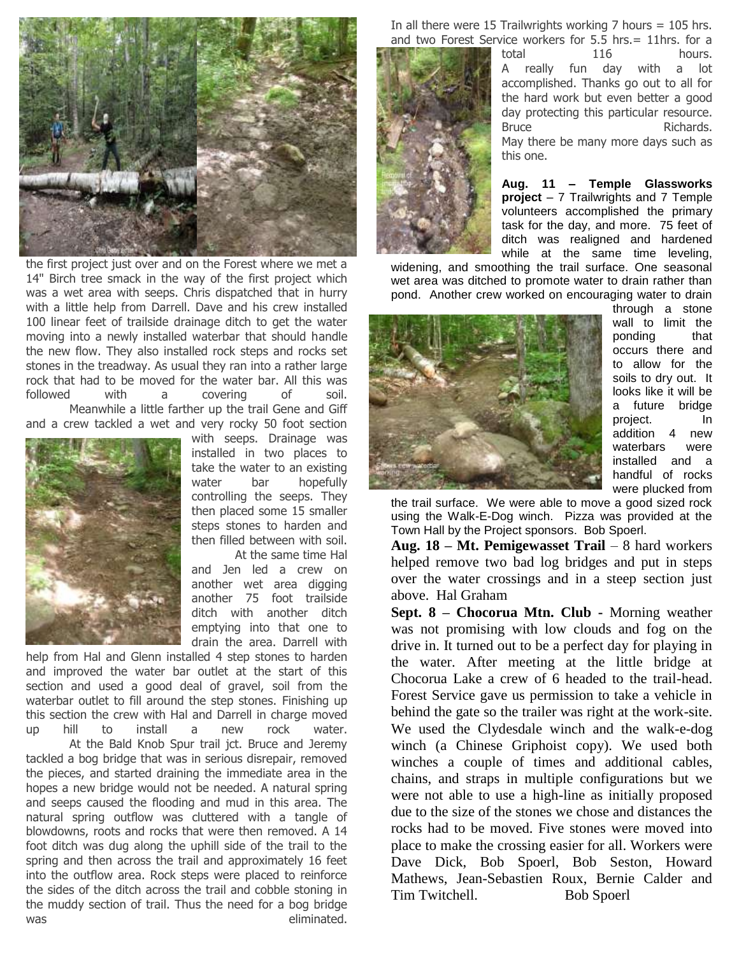

the first project just over and on the Forest where we met a 14" Birch tree smack in the way of the first project which was a wet area with seeps. Chris dispatched that in hurry with a little help from Darrell. Dave and his crew installed 100 linear feet of trailside drainage ditch to get the water moving into a newly installed waterbar that should handle the new flow. They also installed rock steps and rocks set stones in the treadway. As usual they ran into a rather large rock that had to be moved for the water bar. All this was followed with a covering of soil.

Meanwhile a little farther up the trail Gene and Giff and a crew tackled a wet and very rocky 50 foot section



with seeps. Drainage was installed in two places to take the water to an existing water bar hopefully controlling the seeps. They then placed some 15 smaller steps stones to harden and then filled between with soil.

At the same time Hal and Jen led a crew on another wet area digging another 75 foot trailside ditch with another ditch emptying into that one to drain the area. Darrell with

help from Hal and Glenn installed 4 step stones to harden and improved the water bar outlet at the start of this section and used a good deal of gravel, soil from the waterbar outlet to fill around the step stones. Finishing up this section the crew with Hal and Darrell in charge moved up hill to install a new rock water. At the Bald Knob Spur trail jct. Bruce and Jeremy tackled a bog bridge that was in serious disrepair, removed the pieces, and started draining the immediate area in the hopes a new bridge would not be needed. A natural spring and seeps caused the flooding and mud in this area. The natural spring outflow was cluttered with a tangle of blowdowns, roots and rocks that were then removed. A 14 foot ditch was dug along the uphill side of the trail to the spring and then across the trail and approximately 16 feet into the outflow area. Rock steps were placed to reinforce the sides of the ditch across the trail and cobble stoning in the muddy section of trail. Thus the need for a bog bridge was eliminated.

In all there were 15 Trailwrights working  $7$  hours = 105 hrs. and two Forest Service workers for 5.5 hrs.= 11hrs. for a



total 116 hours. A really fun day with a lot accomplished. Thanks go out to all for the hard work but even better a good day protecting this particular resource. Bruce Richards. May there be many more days such as this one.

**Aug. 11 – Temple Glassworks project** – 7 Trailwrights and 7 Temple volunteers accomplished the primary task for the day, and more. 75 feet of ditch was realigned and hardened while at the same time leveling,

widening, and smoothing the trail surface. One seasonal wet area was ditched to promote water to drain rather than pond. Another crew worked on encouraging water to drain



through a stone wall to limit the ponding that occurs there and to allow for the soils to dry out. It looks like it will be a future bridge project. In addition 4 new waterbars were installed and a handful of rocks were plucked from

the trail surface. We were able to move a good sized rock using the Walk-E-Dog winch. Pizza was provided at the Town Hall by the Project sponsors. Bob Spoerl.

**Aug. 18 – Mt. Pemigewasset Trail** – 8 hard workers helped remove two bad log bridges and put in steps over the water crossings and in a steep section just above. Hal Graham

**Sept. 8 – Chocorua Mtn. Club -** Morning weather was not promising with low clouds and fog on the drive in. It turned out to be a perfect day for playing in the water. After meeting at the little bridge at Chocorua Lake a crew of 6 headed to the trail-head. Forest Service gave us permission to take a vehicle in behind the gate so the trailer was right at the work-site. We used the Clydesdale winch and the walk-e-dog winch (a Chinese Griphoist copy). We used both winches a couple of times and additional cables, chains, and straps in multiple configurations but we were not able to use a high-line as initially proposed due to the size of the stones we chose and distances the rocks had to be moved. Five stones were moved into place to make the crossing easier for all. Workers were Dave Dick, Bob Spoerl, Bob Seston, Howard Mathews, Jean-Sebastien Roux, Bernie Calder and Tim Twitchell. Bob Spoerl